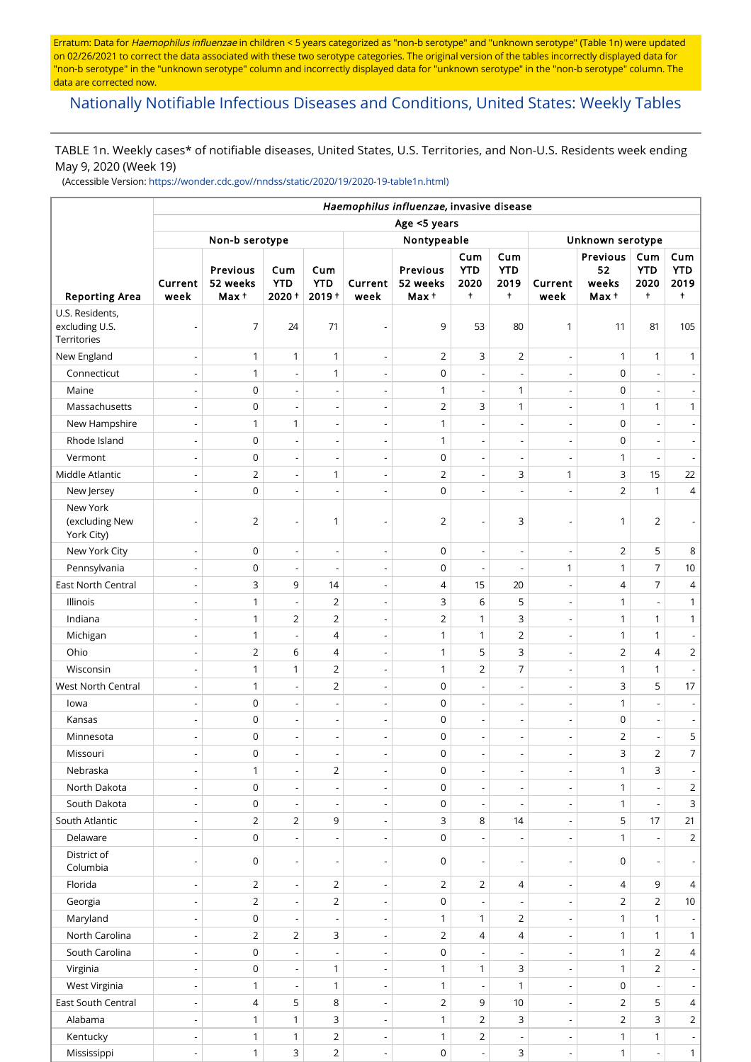Erratum: Data for Haemophilus influenzae in children < 5 years categorized as "non-b serotype" and "unknown serotype" (Table 1n) were updated on 02/26/2021 to correct the data associated with these two serotype categories. The original version of the tables incorrectly displayed data for "non-b serotype" in the "unknown serotype" column and incorrectly displayed data for "unknown serotype" in the "non-b serotype" column. The data are corrected now.

# [Nationally Notifiable Infectious Diseases and Conditions, United States: Weekly Tables](https://wwwn.cdc.gov/nndss/)

TABLE 1n. Weekly cases\* of notifiable diseases, United States, U.S. Territories, and Non-U.S. Residents week ending May 9, 2020 (Week 19)

(Accessible Version: [https://wonder.cdc.gov//nndss/static/2020/19/2020-19-table1n.html\)](https://wonder.cdc.gov//nndss/static/2020/19/2020-19-table1n.html)

|                                                  | Haemophilus influenzae, invasive disease |                               |                            |                               |                          |                                      |                                |                                         |                          |                                  |                                         |                                         |  |  |
|--------------------------------------------------|------------------------------------------|-------------------------------|----------------------------|-------------------------------|--------------------------|--------------------------------------|--------------------------------|-----------------------------------------|--------------------------|----------------------------------|-----------------------------------------|-----------------------------------------|--|--|
|                                                  |                                          | Age <5 years                  |                            |                               |                          |                                      |                                |                                         |                          |                                  |                                         |                                         |  |  |
|                                                  | Non-b serotype                           |                               |                            |                               |                          | Nontypeable                          | Unknown serotype               |                                         |                          |                                  |                                         |                                         |  |  |
| <b>Reporting Area</b>                            | Current<br>week                          | Previous<br>52 weeks<br>Max + | Cum<br><b>YTD</b><br>2020+ | Cum<br><b>YTD</b><br>$2019 +$ | Current<br>week          | <b>Previous</b><br>52 weeks<br>Max + | Cum<br><b>YTD</b><br>2020<br>t | Cum<br><b>YTD</b><br>2019<br>$\ddagger$ | Current<br>week          | Previous<br>52<br>weeks<br>Max + | Cum<br><b>YTD</b><br>2020<br>$\ddagger$ | Cum<br><b>YTD</b><br>2019<br>$\ddagger$ |  |  |
| U.S. Residents,<br>excluding U.S.<br>Territories | $\overline{\phantom{a}}$                 | $\overline{7}$                | 24                         | 71                            | $\overline{a}$           | 9                                    | 53                             | 80                                      | $\mathbf{1}$             | 11                               | 81                                      | 105                                     |  |  |
| New England                                      | $\overline{\phantom{a}}$                 | $\mathbf{1}$                  | $\mathbf{1}$               | $\mathbf{1}$                  | $\overline{\phantom{a}}$ | $\overline{2}$                       | 3                              | $\overline{2}$                          | $\overline{\phantom{a}}$ | $\mathbf{1}$                     | $\mathbf{1}$                            | $\mathbf{1}$                            |  |  |
| Connecticut                                      | $\overline{\phantom{a}}$                 | $\mathbf{1}$                  | $\overline{a}$             | $\mathbf{1}$                  | $\overline{a}$           | $\mathsf 0$                          | $\overline{a}$                 | $\overline{\phantom{a}}$                |                          | $\pmb{0}$                        | $\overline{\phantom{a}}$                | $\overline{\phantom{a}}$                |  |  |
| Maine                                            | $\overline{\phantom{a}}$                 | $\mathbf 0$                   | $\overline{\phantom{m}}$   | $\overline{a}$                | $\overline{\phantom{m}}$ | 1                                    | $\overline{\phantom{a}}$       | 1                                       | $\overline{\phantom{a}}$ | $\mathbf 0$                      | $\overline{\phantom{a}}$                | $\overline{\phantom{a}}$                |  |  |
| Massachusetts                                    | $\overline{\phantom{a}}$                 | $\mathsf 0$                   | $\overline{a}$             | L,                            | $\overline{a}$           | $\overline{2}$                       | 3                              | $\mathbf{1}$                            | $\overline{\phantom{a}}$ | 1                                | $\mathbf{1}$                            | $\mathbf{1}$                            |  |  |
| New Hampshire                                    | $\overline{\phantom{a}}$                 | $\mathbf{1}$                  | $\mathbf{1}$               | $\overline{\phantom{a}}$      | $\overline{\phantom{a}}$ | 1                                    | $\overline{\phantom{a}}$       | $\overline{\phantom{a}}$                | $\overline{\phantom{a}}$ | $\mathbf 0$                      | $\overline{\phantom{a}}$                | $\overline{\phantom{a}}$                |  |  |
| Rhode Island                                     | $\overline{\phantom{a}}$                 | $\mathsf 0$                   | $\overline{\phantom{a}}$   | $\overline{a}$                | $\overline{a}$           | $\mathbf{1}$                         | $\overline{a}$                 | $\overline{\phantom{a}}$                | $\overline{\phantom{a}}$ | $\pmb{0}$                        | $\overline{\phantom{a}}$                | $\overline{\phantom{a}}$                |  |  |
| Vermont                                          | $\overline{\phantom{a}}$                 | $\mathsf 0$                   | $\overline{a}$             | L,                            | $\overline{a}$           | $\mathsf 0$                          | $\overline{a}$                 | ÷,                                      |                          | 1                                | ÷,                                      | $\blacksquare$                          |  |  |
| Middle Atlantic                                  | $\overline{\phantom{a}}$                 | $\overline{2}$                | $\overline{\phantom{a}}$   | 1                             | $\overline{a}$           | $\overline{2}$                       | $\overline{\phantom{a}}$       | 3                                       | $\mathbf{1}$             | 3                                | 15                                      | 22                                      |  |  |
| New Jersey                                       | $\overline{a}$                           | $\mathbf 0$                   | $\overline{a}$             | L,                            | Ĭ.                       | $\mathsf 0$                          | L,                             | $\overline{a}$                          |                          | $\overline{2}$                   | $\mathbf{1}$                            | $\overline{4}$                          |  |  |
| New York<br>(excluding New<br>York City)         |                                          | $\overline{2}$                |                            | $\mathbf{1}$                  | Ĭ.                       | $\overline{2}$                       |                                | 3                                       |                          | 1                                | $\overline{2}$                          | $\blacksquare$                          |  |  |
| New York City                                    | $\overline{\phantom{a}}$                 | $\mathsf 0$                   | $\overline{a}$             | $\overline{a}$                | Ĭ.                       | $\mathsf 0$                          | $\overline{a}$                 | $\overline{\phantom{a}}$                |                          | $\overline{2}$                   | 5                                       | 8                                       |  |  |
| Pennsylvania                                     | $\overline{\phantom{a}}$                 | $\mathsf 0$                   | $\overline{\phantom{m}}$   | $\overline{a}$                | $\overline{a}$           | $\mathsf 0$                          | $\overline{\phantom{a}}$       | $\overline{\phantom{a}}$                | $\mathbf{1}$             | $\mathbf{1}$                     | $\overline{7}$                          | $10$                                    |  |  |
| East North Central                               | $\overline{\phantom{a}}$                 | 3                             | 9                          | 14                            | $\overline{a}$           | $\overline{4}$                       | 15                             | 20                                      | $\overline{a}$           | $\overline{4}$                   | $\overline{7}$                          | 4                                       |  |  |
| Illinois                                         | $\overline{\phantom{a}}$                 | $\mathbf{1}$                  | $\overline{\phantom{m}}$   | $\overline{2}$                | $\overline{\phantom{a}}$ | 3                                    | 6                              | 5                                       | $\overline{\phantom{a}}$ | 1                                | $\overline{\phantom{a}}$                | $\mathbf{1}$                            |  |  |
| Indiana                                          | $\overline{\phantom{a}}$                 | $\mathbf{1}$                  | $\overline{2}$             | $\overline{2}$                | $\overline{a}$           | $\overline{2}$                       | $\mathbf{1}$                   | 3                                       | $\overline{\phantom{a}}$ | 1                                | $\mathbf{1}$                            | $\mathbf{1}$                            |  |  |
| Michigan                                         | $\overline{\phantom{a}}$                 | $\mathbf{1}$                  | $\overline{\phantom{a}}$   | $\overline{4}$                | $\overline{\phantom{a}}$ | 1                                    | $\mathbf{1}$                   | $\overline{2}$                          | $\overline{\phantom{a}}$ | 1                                | $\mathbf{1}$                            | $\overline{\phantom{a}}$                |  |  |
| Ohio                                             | $\overline{\phantom{a}}$                 | 2                             | 6                          | $\overline{4}$                | $\overline{\phantom{a}}$ | 1                                    | 5                              | 3                                       | $\overline{\phantom{a}}$ | $\overline{2}$                   | $\overline{4}$                          | $\overline{2}$                          |  |  |
| Wisconsin                                        | $\overline{\phantom{a}}$                 | $\mathbf{1}$                  | $\mathbf{1}$               | $\overline{2}$                | $\overline{a}$           | $\mathbf{1}$                         | $\overline{2}$                 | $\overline{7}$                          |                          | $\mathbf{1}$                     | $\mathbf{1}$                            | $\blacksquare$                          |  |  |
| West North Central                               | $\overline{\phantom{a}}$                 | $\mathbf{1}$                  | $\overline{\phantom{a}}$   | $\overline{2}$                | $\overline{a}$           | $\mathsf 0$                          | $\overline{\phantom{a}}$       | $\overline{\phantom{a}}$                | $\overline{\phantom{a}}$ | 3                                | 5                                       | 17                                      |  |  |
| lowa                                             | $\overline{\phantom{a}}$                 | $\mathsf 0$                   | $\overline{\phantom{m}}$   | $\overline{a}$                | Ĭ.                       | $\mathsf 0$                          |                                | $\overline{a}$                          |                          | $\mathbf{1}$                     | ÷,                                      | $\overline{\phantom{a}}$                |  |  |
| Kansas                                           | $\overline{\phantom{a}}$                 | $\mathsf 0$                   | $\overline{\phantom{a}}$   | $\overline{a}$                | $\overline{\phantom{m}}$ | $\mathsf 0$                          | $\overline{\phantom{a}}$       | $\overline{\phantom{a}}$                | $\overline{\phantom{a}}$ | $\mathbf 0$                      | $\overline{\phantom{a}}$                | $\overline{\phantom{a}}$                |  |  |
| Minnesota                                        | $\overline{\phantom{a}}$                 | $\mathbf 0$                   | $\overline{\phantom{a}}$   | $\overline{a}$                | $\overline{\phantom{a}}$ | $\mathsf 0$                          | $\overline{a}$                 | ÷,                                      |                          | $\overline{2}$                   | $\overline{a}$                          | 5                                       |  |  |
| Missouri                                         | $\overline{\phantom{a}}$                 | $\mathbf 0$                   | $\overline{\phantom{a}}$   | $\overline{a}$                | $\overline{a}$           | $\mathbf 0$                          | $\centerdot$                   | $\overline{a}$                          | $\overline{\phantom{a}}$ | 3                                | $\overline{2}$                          | $\overline{7}$                          |  |  |
| Nebraska                                         | $\overline{\phantom{a}}$                 | $\mathbf{1}$                  | $\overline{\phantom{a}}$   | 2                             | $\overline{a}$           | $\mathsf 0$                          | $\overline{a}$                 | $\overline{a}$                          | $\overline{\phantom{a}}$ | 1                                | 3                                       | $\overline{\phantom{a}}$                |  |  |
| North Dakota                                     | $\overline{\phantom{a}}$                 | $\mathsf 0$                   | $\overline{\phantom{a}}$   | $\overline{\phantom{a}}$      | $\overline{\phantom{a}}$ | $\mathsf 0$                          | $\overline{\phantom{a}}$       | $\overline{\phantom{a}}$                | $\overline{\phantom{a}}$ | $\mathbf{1}$                     |                                         | $\overline{2}$                          |  |  |
| South Dakota                                     | $\overline{\phantom{a}}$                 | 0                             | $\overline{a}$             | $\overline{a}$                | $\overline{\phantom{a}}$ | 0                                    | $\overline{a}$                 | $\overline{\phantom{a}}$                | $\overline{\phantom{a}}$ | $\mathbf{1}$                     | $\sim$                                  | 3                                       |  |  |
| South Atlantic                                   | $\overline{\phantom{a}}$                 | $\overline{2}$                | $\overline{2}$             | 9                             | $\overline{\phantom{a}}$ | 3                                    | 8                              | 14                                      | $\overline{\phantom{a}}$ | 5                                | 17                                      | 21                                      |  |  |
| Delaware                                         | $\overline{\phantom{a}}$                 | $\mathsf 0$                   | $\overline{a}$             | $\overline{a}$                | $\blacksquare$           | $\mathsf 0$                          |                                | $\overline{\phantom{a}}$                |                          | 1                                | $\overline{a}$                          | $\overline{2}$                          |  |  |
| District of<br>Columbia                          | $\overline{\phantom{a}}$                 | 0                             | $\overline{\phantom{a}}$   | $\overline{a}$                | $\overline{\phantom{m}}$ | 0                                    | $\overline{a}$                 | $\overline{a}$                          | $\overline{\phantom{a}}$ | $\mathbf 0$                      | $\overline{\phantom{a}}$                | $\overline{\phantom{a}}$                |  |  |
| Florida                                          | $\overline{\phantom{a}}$                 | $\overline{2}$                | $\overline{\phantom{m}}$   | $\overline{2}$                | $\overline{\phantom{a}}$ | $\overline{2}$                       | $\overline{2}$                 | 4                                       | $\overline{\phantom{a}}$ | 4                                | 9                                       | $\overline{4}$                          |  |  |
| Georgia                                          | $\overline{\phantom{a}}$                 | $\overline{2}$                | $\overline{\phantom{a}}$   | $\overline{2}$                | $\overline{\phantom{a}}$ | $\mathsf 0$                          |                                | $\overline{\phantom{a}}$                |                          | $\overline{2}$                   | $\overline{2}$                          | 10                                      |  |  |
| Maryland                                         | $\overline{\phantom{a}}$                 | $\mathsf 0$                   | $\overline{\phantom{m}}$   | $\overline{a}$                | $\overline{a}$           | $\mathbf{1}$                         | 1                              | 2                                       |                          | 1                                | $\mathbf{1}$                            | $\blacksquare$                          |  |  |
| North Carolina                                   | $\overline{\phantom{a}}$                 | $\overline{2}$                | $\overline{2}$             | 3                             | $\overline{\phantom{a}}$ | $\overline{2}$                       | 4                              | 4                                       |                          | $\mathbf{1}$                     | $\mathbf{1}$                            | $\mathbf{1}$                            |  |  |
| South Carolina                                   | $\overline{\phantom{a}}$                 | $\mathbf 0$                   | $\overline{a}$             | ÷,                            | $\overline{a}$           | $\mathsf 0$                          |                                | $\overline{a}$                          |                          | 1                                | $\overline{2}$                          | $\overline{4}$                          |  |  |
| Virginia                                         | $\overline{\phantom{a}}$                 | $\mathsf 0$                   | $\overline{\phantom{a}}$   | $\mathbf{1}$                  | $\overline{\phantom{a}}$ | 1                                    | $\mathbf{1}$                   | 3                                       | $\overline{\phantom{a}}$ | $\mathbf{1}$                     | $\overline{2}$                          | $\overline{\phantom{a}}$                |  |  |
| West Virginia                                    | $\overline{\phantom{a}}$                 | $\mathbf{1}$                  | $\overline{a}$             | 1                             | $\overline{a}$           | $\mathbf{1}$                         | $\overline{a}$                 | 1                                       |                          | $\pmb{0}$                        | $\overline{a}$                          | $\overline{\phantom{a}}$                |  |  |
| East South Central                               | $\overline{\phantom{a}}$                 | $\overline{4}$                | 5                          | $\,8$                         | $\overline{\phantom{a}}$ | $\overline{2}$                       | 9                              | 10                                      | $\overline{\phantom{a}}$ | $\overline{2}$                   | 5                                       | $\overline{4}$                          |  |  |
| Alabama                                          | $\overline{\phantom{a}}$                 | $\mathbf{1}$                  | $\mathbf{1}$               | $\mathsf 3$                   | $\overline{\phantom{a}}$ | $\mathbf{1}$                         | $\overline{2}$                 | 3                                       | $\overline{\phantom{a}}$ | $\overline{2}$                   | 3                                       | $\overline{2}$                          |  |  |
| Kentucky                                         | $\overline{\phantom{a}}$                 | $\mathbf{1}$                  | $\mathbf{1}$               | $\overline{2}$                | $\overline{\phantom{a}}$ | 1                                    | $\overline{2}$                 | $\overline{\phantom{a}}$                | $\overline{\phantom{a}}$ | $\mathbf{1}$                     | $\mathbf{1}$                            | $\overline{\phantom{a}}$                |  |  |
| Mississippi                                      | $\overline{\phantom{a}}$                 | $\mathbf{1}$                  | 3                          | $\overline{2}$                | $\overline{\phantom{a}}$ | $\mathsf{O}\xspace$                  | $\overline{\phantom{a}}$       | 3                                       | $\overline{\phantom{a}}$ | 1                                | $\overline{\phantom{a}}$                | $1\vert$                                |  |  |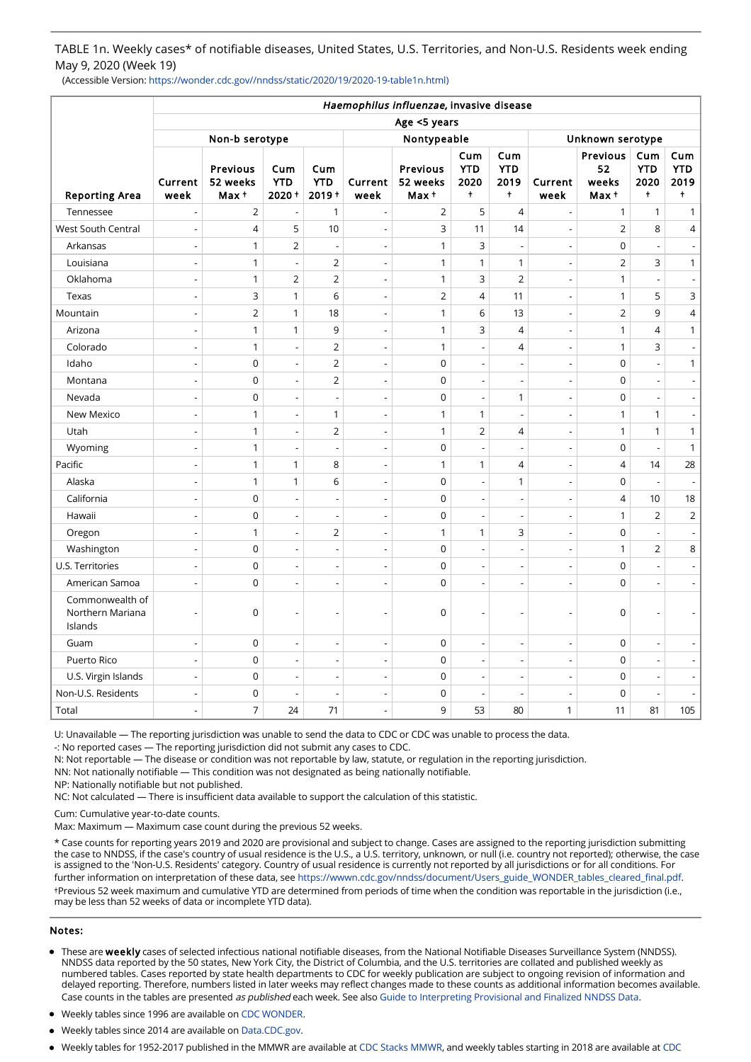TABLE 1n. Weekly cases\* of notifiable diseases, United States, U.S. Territories, and Non-U.S. Residents week ending May 9, 2020 (Week 19)

(Accessible Version: https://wonder.cdc.gov//nndss/static/2020/19/2020-19-table1n.html)

|                                                | Haemophilus influenzae, invasive disease |                               |                            |                               |                          |                                      |                                         |                                         |                          |                                  |                                         |                                         |  |
|------------------------------------------------|------------------------------------------|-------------------------------|----------------------------|-------------------------------|--------------------------|--------------------------------------|-----------------------------------------|-----------------------------------------|--------------------------|----------------------------------|-----------------------------------------|-----------------------------------------|--|
|                                                | Age <5 years                             |                               |                            |                               |                          |                                      |                                         |                                         |                          |                                  |                                         |                                         |  |
|                                                | Non-b serotype                           |                               |                            |                               | Nontypeable              |                                      |                                         |                                         | Unknown serotype         |                                  |                                         |                                         |  |
| <b>Reporting Area</b>                          | Current<br>week                          | Previous<br>52 weeks<br>Max + | Cum<br><b>YTD</b><br>2020+ | Cum<br><b>YTD</b><br>$2019 +$ | Current<br>week          | <b>Previous</b><br>52 weeks<br>Max + | Cum<br><b>YTD</b><br>2020<br>$\ddagger$ | Cum<br><b>YTD</b><br>2019<br>$\ddagger$ | Current<br>week          | Previous<br>52<br>weeks<br>Max + | Cum<br><b>YTD</b><br>2020<br>$\ddagger$ | Cum<br><b>YTD</b><br>2019<br>$\ddagger$ |  |
| Tennessee                                      | ÷,                                       | $\mathbf 2$                   | ÷,                         | $\mathbf{1}$                  | $\overline{a}$           | $\overline{2}$                       | 5                                       | $\overline{4}$                          | ÷,                       | $\mathbf{1}$                     | $\mathbf{1}$                            | $\mathbf{1}$                            |  |
| <b>West South Central</b>                      | $\overline{\phantom{m}}$                 | $\overline{4}$                | 5                          | 10                            | $\overline{a}$           | 3                                    | 11                                      | 14                                      | L,                       | $\overline{2}$                   | 8                                       | 4                                       |  |
| Arkansas                                       | $\overline{\phantom{a}}$                 | $\mathbf{1}$                  | $\overline{2}$             | $\overline{a}$                | $\overline{a}$           | $\mathbf{1}$                         | 3                                       | ÷,                                      | Ĭ.                       | $\overline{0}$                   | $\overline{\phantom{a}}$                | $\overline{\phantom{a}}$                |  |
| Louisiana                                      | $\overline{\phantom{m}}$                 | $\mathbf{1}$                  | $\overline{\phantom{a}}$   | $\overline{2}$                | $\overline{a}$           | $\mathbf{1}$                         | $\mathbf{1}$                            | $\mathbf{1}$                            | ÷,                       | $\overline{2}$                   | 3                                       | $\mathbf{1}$                            |  |
| Oklahoma                                       | $\overline{\phantom{m}}$                 | $\mathbf{1}$                  | $\overline{2}$             | $\overline{2}$                | $\overline{a}$           | $\mathbf{1}$                         | 3                                       | $\mathbf 2$                             | $\overline{\phantom{a}}$ | 1                                | $\overline{\phantom{a}}$                | $\overline{\phantom{a}}$                |  |
| Texas                                          | $\overline{\phantom{a}}$                 | 3                             | $\mathbf{1}$               | 6                             | $\overline{a}$           | $\overline{2}$                       | $\overline{4}$                          | 11                                      | ÷,                       | $\mathbf{1}$                     | 5                                       | 3                                       |  |
| Mountain                                       | $\overline{\phantom{a}}$                 | $\overline{2}$                | $\mathbf{1}$               | 18                            | $\overline{a}$           | $\mathbf{1}$                         | 6                                       | 13                                      | $\overline{a}$           | $\overline{2}$                   | 9                                       | 4                                       |  |
| Arizona                                        | $\overline{\phantom{m}}$                 | $\mathbf{1}$                  | $\mathbf{1}$               | 9                             | $\overline{a}$           | $\mathbf{1}$                         | 3                                       | $\overline{4}$                          | $\overline{a}$           | 1                                | $\overline{4}$                          | 1                                       |  |
| Colorado                                       | $\overline{\phantom{m}}$                 | $\mathbf{1}$                  | $\overline{\phantom{a}}$   | $\overline{2}$                | $\overline{a}$           | $\mathbf{1}$                         | Ĭ.                                      | $\overline{4}$                          | ÷,                       | $\mathbf{1}$                     | 3                                       | $\overline{\phantom{a}}$                |  |
| Idaho                                          | $\overline{\phantom{a}}$                 | $\mathbf 0$                   | $\overline{\phantom{a}}$   | $\overline{2}$                | $\overline{a}$           | $\mathbf 0$                          | $\overline{a}$                          | $\overline{a}$                          | L,                       | $\mathbf 0$                      | $\overline{\phantom{a}}$                | $\mathbf{1}$                            |  |
| Montana                                        | $\overline{\phantom{a}}$                 | $\mathbf 0$                   | $\overline{\phantom{a}}$   | $\overline{2}$                | $\overline{a}$           | $\mathbf 0$                          | $\overline{\phantom{a}}$                | ÷,                                      | $\overline{\phantom{a}}$ | $\mathbf 0$                      | $\overline{\phantom{a}}$                | $\overline{\phantom{a}}$                |  |
| Nevada                                         | $\overline{\phantom{a}}$                 | $\mathbf 0$                   | $\overline{a}$             | $\overline{a}$                | $\overline{a}$           | $\mathbf 0$                          | $\overline{a}$                          | $\mathbf{1}$                            | $\overline{a}$           | $\mathbf 0$                      | $\overline{\phantom{a}}$                | $\overline{\phantom{a}}$                |  |
| New Mexico                                     | $\overline{\phantom{m}}$                 | $\mathbf{1}$                  | $\overline{\phantom{a}}$   | 1                             | $\overline{a}$           | $\mathbf{1}$                         | 1                                       | ÷,                                      | $\overline{a}$           | 1                                | $\mathbf{1}$                            | $\blacksquare$                          |  |
| Utah                                           | $\overline{\phantom{a}}$                 | $\mathbf{1}$                  | $\overline{\phantom{a}}$   | $\overline{2}$                | $\overline{\phantom{m}}$ | $\mathbf{1}$                         | $\overline{2}$                          | 4                                       | $\overline{\phantom{a}}$ | 1                                | $\mathbf{1}$                            | $\mathbf{1}$                            |  |
| Wyoming                                        | $\overline{\phantom{a}}$                 | $\mathbf{1}$                  | $\overline{a}$             | $\overline{a}$                | $\overline{a}$           | $\mathbf 0$                          | $\overline{a}$                          | $\overline{a}$                          | $\overline{a}$           | $\mathbf 0$                      | $\overline{\phantom{a}}$                | $\mathbf{1}$                            |  |
| Pacific                                        | $\overline{\phantom{m}}$                 | $\mathbf{1}$                  | $\mathbf{1}$               | 8                             | $\overline{a}$           | $\mathbf{1}$                         | $\mathbf{1}$                            | $\overline{4}$                          | $\overline{\phantom{a}}$ | $\overline{4}$                   | 14                                      | 28                                      |  |
| Alaska                                         | $\overline{\phantom{a}}$                 | $\mathbf{1}$                  | $\mathbf{1}$               | 6                             | $\overline{\phantom{m}}$ | $\mathbf 0$                          | $\overline{a}$                          | $\mathbf{1}$                            | $\overline{a}$           | $\mathbf 0$                      | ÷,                                      | $\overline{\phantom{a}}$                |  |
| California                                     | $\overline{\phantom{m}}$                 | $\mathbf 0$                   | $\overline{\phantom{a}}$   | $\overline{a}$                | $\overline{a}$           | $\mathbf 0$                          | $\overline{\phantom{a}}$                | $\overline{\phantom{a}}$                | $\overline{a}$           | $\overline{4}$                   | 10                                      | 18                                      |  |
| Hawaii                                         | $\overline{\phantom{a}}$                 | $\mathbf 0$                   | $\overline{\phantom{a}}$   | $\overline{\phantom{a}}$      | $\overline{\phantom{m}}$ | $\mathbf 0$                          | $\overline{\phantom{a}}$                | $\overline{\phantom{a}}$                | $\overline{\phantom{a}}$ | 1                                | $\overline{2}$                          | $\overline{2}$                          |  |
| Oregon                                         | $\overline{\phantom{m}}$                 | $\mathbf{1}$                  | $\overline{a}$             | $\overline{2}$                | $\overline{a}$           | $\mathbf{1}$                         | 1                                       | 3                                       | $\overline{a}$           | $\mathbf 0$                      | $\overline{\phantom{a}}$                | $\overline{\phantom{a}}$                |  |
| Washington                                     | $\overline{\phantom{m}}$                 | $\mathbf 0$                   | $\overline{\phantom{a}}$   | $\frac{1}{2}$                 | $\overline{a}$           | $\mathbf 0$                          | $\overline{\phantom{a}}$                | $\overline{\phantom{a}}$                | $\overline{\phantom{a}}$ | 1                                | $\overline{2}$                          | 8                                       |  |
| U.S. Territories                               | $\overline{\phantom{a}}$                 | $\mathbf 0$                   | $\overline{\phantom{a}}$   | $\overline{a}$                | $\overline{\phantom{m}}$ | $\mathbf 0$                          | $\overline{\phantom{a}}$                | $\overline{a}$                          | $\overline{a}$           | $\mathbf 0$                      | $\overline{\phantom{a}}$                | $\overline{\phantom{a}}$                |  |
| American Samoa                                 | $\overline{\phantom{a}}$                 | $\mathbf 0$                   | $\overline{\phantom{a}}$   | $\overline{a}$                | $\overline{a}$           | $\overline{0}$                       | $\overline{a}$                          | $\overline{a}$                          | $\overline{a}$           | $\mathbf 0$                      | $\overline{\phantom{a}}$                | $\blacksquare$                          |  |
| Commonwealth of<br>Northern Mariana<br>Islands | $\overline{\phantom{a}}$                 | $\mathbf 0$                   | $\overline{\phantom{a}}$   |                               | $\overline{a}$           | $\mathbf 0$                          | Ĭ.                                      | Ĭ.                                      |                          | $\mathbf 0$                      | $\overline{a}$                          |                                         |  |
| Guam                                           | $\overline{\phantom{a}}$                 | $\mathbf 0$                   | $\overline{\phantom{a}}$   | $\overline{a}$                | $\overline{\phantom{a}}$ | $\mathsf 0$                          | $\overline{\phantom{a}}$                | $\overline{\phantom{a}}$                | $\overline{\phantom{a}}$ | $\mathbf 0$                      | $\overline{\phantom{a}}$                | $\blacksquare$                          |  |
| Puerto Rico                                    | $\overline{\phantom{a}}$                 | $\mathbf 0$                   | $\blacksquare$             | $\overline{\phantom{a}}$      | $\overline{\phantom{a}}$ | $\mathsf 0$                          | $\overline{\phantom{a}}$                | $\overline{\phantom{a}}$                | $\blacksquare$           | $\mathbf 0$                      | $\overline{\phantom{a}}$                | $\blacksquare$                          |  |
| U.S. Virgin Islands                            | $\overline{\phantom{a}}$                 | $\mathbf 0$                   | $\overline{\phantom{a}}$   | $\overline{a}$                | $\overline{\phantom{a}}$ | $\mathsf 0$                          | $\overline{\phantom{a}}$                | $\overline{\phantom{a}}$                | $\overline{\phantom{a}}$ | $\Omega$                         | $\overline{\phantom{a}}$                | $\overline{\phantom{a}}$                |  |
| Non-U.S. Residents                             | $\overline{\phantom{a}}$                 | $\mathbf 0$                   | $\overline{\phantom{a}}$   | $\overline{a}$                | $\overline{\phantom{a}}$ | $\mathsf 0$                          | $\overline{\phantom{a}}$                | $\overline{\phantom{a}}$                | $\overline{\phantom{a}}$ | $\mathbf 0$                      | $\overline{\phantom{a}}$                | $\overline{a}$                          |  |
| Total                                          | $\overline{\phantom{a}}$                 | $\overline{7}$                | 24                         | 71                            | $\overline{\phantom{a}}$ | 9                                    | 53                                      | 80                                      | 1                        | 11                               | 81                                      | 105                                     |  |

U: Unavailable — The reporting jurisdiction was unable to send the data to CDC or CDC was unable to process the data.

-: No reported cases — The reporting jurisdiction did not submit any cases to CDC.

N: Not reportable — The disease or condition was not reportable by law, statute, or regulation in the reporting jurisdiction.

NN: Not nationally notifiable — This condition was not designated as being nationally notifiable.

NP: Nationally notifiable but not published.

NC: Not calculated — There is insufficient data available to support the calculation of this statistic.

Cum: Cumulative year-to-date counts.

Max: Maximum — Maximum case count during the previous 52 weeks.

\* Case counts for reporting years 2019 and 2020 are provisional and subject to change. Cases are assigned to the reporting jurisdiction submitting the case to NNDSS, if the case's country of usual residence is the U.S., a U.S. territory, unknown, or null (i.e. country not reported); otherwise, the case is assigned to the 'Non-U.S. Residents' category. Country of usual residence is currently not reported by all jurisdictions or for all conditions. For further information on interpretation of these data, see [https://wwwn.cdc.gov/nndss/document/Users\\_guide\\_WONDER\\_tables\\_cleared\\_final.pdf.](https://wwwn.cdc.gov/nndss/document/Users_guide_WONDER_tables_cleared_final.pdf) †Previous 52 week maximum and cumulative YTD are determined from periods of time when the condition was reportable in the jurisdiction (i.e., may be less than 52 weeks of data or incomplete YTD data).

#### Notes:

- These are weekly cases of selected infectious national notifiable diseases, from the National Notifiable Diseases Surveillance System (NNDSS). NNDSS data reported by the 50 states, New York City, the District of Columbia, and the U.S. territories are collated and published weekly as numbered tables. Cases reported by state health departments to CDC for weekly publication are subject to ongoing revision of information and delayed reporting. Therefore, numbers listed in later weeks may reflect changes made to these counts as additional information becomes available. Case counts in the tables are presented as published each week. See also [Guide to Interpreting Provisional and Finalized NNDSS Data](https://wwwn.cdc.gov/nndss/document/Users_guide_WONDER_tables_cleared_final.pdf).
- Weekly tables since 1996 are available on [CDC WONDER.](https://wonder.cdc.gov/nndss/nndss_weekly_tables_menu.asp)
- Weekly tables since 2014 are available on [Data.CDC.gov](https://data.cdc.gov/browse?q=NNDSS&sortBy=newest&utf8=%E2%9C%93).
- [Weekly tables for 1952-2017 published in the MMWR are available at C](https://stacks.cdc.gov/nndss)[DC Stacks MMW](https://stacks.cdc.gov/mmwr)[R, and weekly tables starting in 2018 are available at CDC](https://stacks.cdc.gov/nndss)